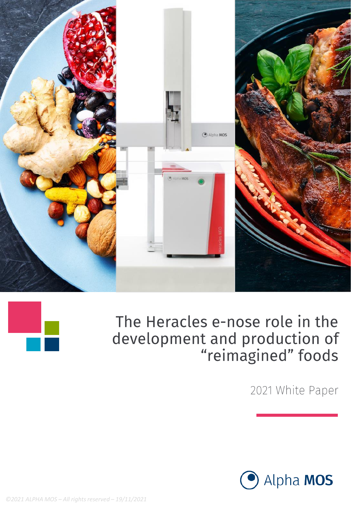



2021 White Paper



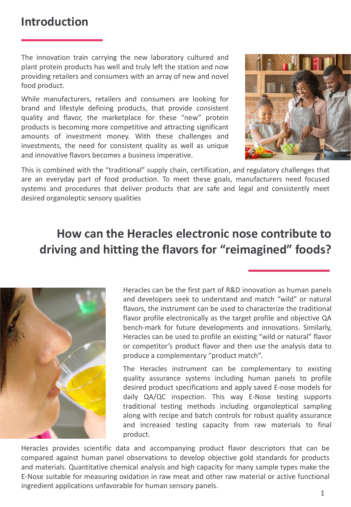The innovation train carrying the new laboratory cultured and plant protein products has well and truly left the station and now providing retailers and consumers with an array of new and novel food product.

While manufacturers, retailers and consumers are looking for brand and lifestyle defining products, that provide consistent quality and flavor, the marketplace for these "new" protein products is becoming more competitive and attracting significant amounts of investment money. With these challenges and investments, the need for consistent quality as well as unique and innovative flavors becomes a business imperative.



This is combined with the "traditional" supply chain, certification, and regulatory challenges that are an everyday part of food production. To meet these goals, manufacturers need focused systems and procedures that deliver products that are safe and legal and consistently meet desired organoleptic sensory qualities

## **How can the Heracles electronic nose contribute to driving and hitting the flavors for "reimagined" foods?**



Heracles can be the first part of R&D innovation as human panels and developers seek to understand and match "wild" or natural flavors, the instrument can be used to characterize the traditional flavor profile electronically as the target profile and objective QA bench-mark for future developments and innovations. Similarly, Heracles can be used to profile an existing "wild or natural" flavor or competitor's product flavor and then use the analysis data to produce a complementary "product match".

The Heracles instrument can be complementary to existing quality assurance systems including human panels to profile desired product specifications and apply saved E-nose models for daily QA/QC inspection. This way E-Nose testing supports traditional testing methods including organoleptical sampling along with recipe and batch controls for robust quality assurance and increased testing capacity from raw materials to final product.

Heracles provides scientific data and accompanying product flavor descriptors that can be compared against human panel observations to develop objective gold standards for products and materials. Quantitative chemical analysis and high capacity for many sample types make the E-Nose suitable for measuring oxidation in raw meat and other raw material or active functional ingredient applications unfavorable for human sensory panels.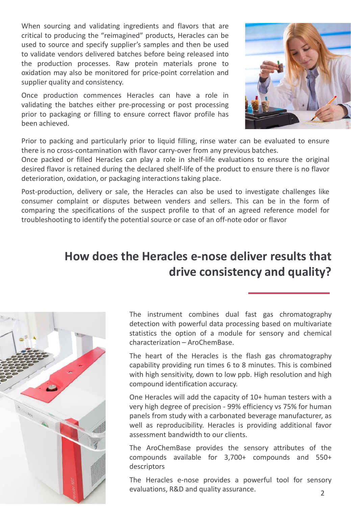When sourcing and validating ingredients and flavors that are critical to producing the "reimagined" products, Heracles can be used to source and specify supplier's samples and then be used to validate vendors delivered batches before being released into the production processes. Raw protein materials prone to oxidation may also be monitored for price-point correlation and supplier quality and consistency.

Once production commences Heracles can have a role in validating the batches either pre-processing or post processing prior to packaging or filling to ensure correct flavor profile has been achieved.



Prior to packing and particularly prior to liquid filling, rinse water can be evaluated to ensure there is no cross-contamination with flavor carry-over from any previous batches.

Once packed or filled Heracles can play a role in shelf-life evaluations to ensure the original desired flavor is retained during the declared shelf-life of the product to ensure there is no flavor deterioration, oxidation, or packaging interactions taking place.

Post-production, delivery or sale, the Heracles can also be used to investigate challenges like consumer complaint or disputes between venders and sellers. This can be in the form of comparing the specifications of the suspect profile to that of an agreed reference model for troubleshooting to identify the potential source or case of an off-note odor or flavor

## **How does the Heracles e-nose deliver results that drive consistency and quality?**



The instrument combines dual fast gas chromatography detection with powerful data processing based on multivariate statistics the option of a module for sensory and chemical characterization – AroChemBase.

The heart of the Heracles is the flash gas chromatography capability providing run times 6 to 8 minutes. This is combined with high sensitivity, down to low ppb. High resolution and high compound identification accuracy.

One Heracles will add the capacity of 10+ human testers with a very high degree of precision - 99% efficiency vs 75% for human panels from study with a carbonated beverage manufacturer, as well as reproducibility. Heracles is providing additional favor assessment bandwidth to our clients.

The AroChemBase provides the sensory attributes of the compounds available for 3,700+ compounds and 550+ descriptors

The Heracles e-nose provides a powerful tool for sensory evaluations, R&D and quality assurance.